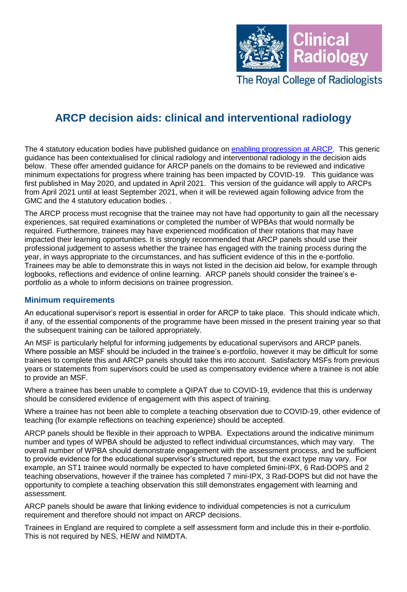

The Royal College of Radiologists

# **ARCP decision aids: clinical and interventional radiology**

The 4 statutory education bodies have published guidance on [enabling progression at ARCP.](https://www.copmed.org.uk/images/docs/ARCP_Decision_Aid/ARCP_Decision_Aid.pdf) This generic guidance has been contextualised for clinical radiology and interventional radiology in the decision aids below. These offer amended guidance for ARCP panels on the domains to be reviewed and indicative minimum expectations for progress where training has been impacted by COVID-19. This guidance was first published in May 2020, and updated in April 2021. This version of the guidance will apply to ARCPs from April 2021 until at least September 2021, when it will be reviewed again following advice from the GMC and the 4 statutory education bodies. .

The ARCP process must recognise that the trainee may not have had opportunity to gain all the necessary experiences, sat required examinations or completed the number of WPBAs that would normally be required. Furthermore, trainees may have experienced modification of their rotations that may have impacted their learning opportunities. It is strongly recommended that ARCP panels should use their professional judgement to assess whether the trainee has engaged with the training process during the year, in ways appropriate to the circumstances, and has sufficient evidence of this in the e-portfolio. Trainees may be able to demonstrate this in ways not listed in the decision aid below, for example through logbooks, reflections and evidence of online learning. ARCP panels should consider the trainee's eportfolio as a whole to inform decisions on trainee progression.

#### **Minimum requirements**

An educational supervisor's report is essential in order for ARCP to take place. This should indicate which, if any, of the essential components of the programme have been missed in the present training year so that the subsequent training can be tailored appropriately.

An MSF is particularly helpful for informing judgements by educational supervisors and ARCP panels. Where possible an MSF should be included in the trainee's e-portfolio, however it may be difficult for some trainees to complete this and ARCP panels should take this into account. Satisfactory MSFs from previous years or statements from supervisors could be used as compensatory evidence where a trainee is not able to provide an MSF.

Where a trainee has been unable to complete a QIPAT due to COVID-19, evidence that this is underway should be considered evidence of engagement with this aspect of training.

Where a trainee has not been able to complete a teaching observation due to COVID-19, other evidence of teaching (for example reflections on teaching experience) should be accepted.

ARCP panels should be flexible in their approach to WPBA. Expectations around the indicative minimum number and types of WPBA should be adjusted to reflect individual circumstances, which may vary. The overall number of WPBA should demonstrate engagement with the assessment process, and be sufficient to provide evidence for the educational supervisor's structured report, but the exact type may vary. For example, an ST1 trainee would normally be expected to have completed 6mini-IPX, 6 Rad-DOPS and 2 teaching observations, however if the trainee has completed 7 mini-IPX, 3 Rad-DOPS but did not have the opportunity to complete a teaching observation this still demonstrates engagement with learning and assessment.

ARCP panels should be aware that linking evidence to individual competencies is not a curriculum requirement and therefore should not impact on ARCP decisions.

Trainees in England are required to complete a self assessment form and include this in their e-portfolio. This is not required by NES, HEIW and NIMDTA.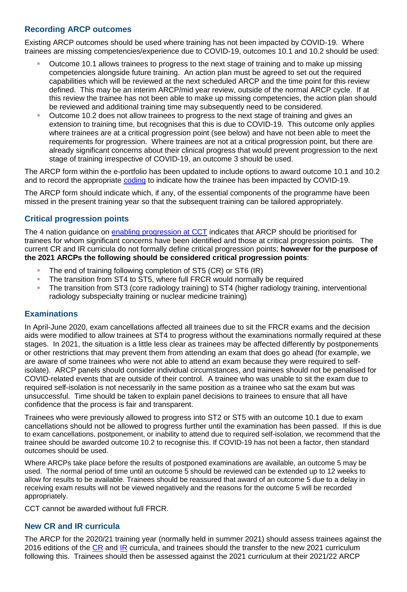#### **Recording ARCP outcomes**

Existing ARCP outcomes should be used where training has not been impacted by COVID-19. Where trainees are missing competencies/experience due to COVID-19, outcomes 10.1 and 10.2 should be used:

- Outcome 10.1 allows trainees to progress to the next stage of training and to make up missing competencies alongside future training. An action plan must be agreed to set out the required capabilities which will be reviewed at the next scheduled ARCP and the time point for this review defined. This may be an interim ARCP/mid year review, outside of the normal ARCP cycle. If at this review the trainee has not been able to make up missing competencies, the action plan should be reviewed and additional training time may subsequently need to be considered.
- Outcome 10.2 does not allow trainees to progress to the next stage of training and gives an extension to training time, but recognises that this is due to COVID-19. This outcome only applies where trainees are at a critical progression point (see below) and have not been able to meet the requirements for progression. Where trainees are not at a critical progression point, but there are already significant concerns about their clinical progress that would prevent progression to the next stage of training irrespective of COVID-19, an outcome 3 should be used.

The ARCP form within the e-portfolio has been updated to include options to award outcome 10.1 and 10.2 and to record the appropriate [coding](https://www.copmed.org.uk/images/docs/Coding_for_ARCPs/Coding_for_ARCPs.pdf) to indicate how the trainee has been impacted by COVID-19.

The ARCP form should indicate which, if any, of the essential components of the programme have been missed in the present training year so that the subsequent training can be tailored appropriately.

#### **Critical progression points**

The 4 nation guidance on [enabling progression at CCT](https://www.copmed.org.uk/images/docs/ARCP_Decision_Aid/ARCP_Decision_Aid.pdf) indicates that ARCP should be prioritised for trainees for whom significant concerns have been identified and those at critical progression points. The current CR and IR curricula do not formally define critical progression points; **however for the purpose of the 2021 ARCPs the following should be considered critical progression points**:

- The end of training following completion of ST5 (CR) or ST6 (IR)
- The transition from ST4 to ST5, where full FRCR would normally be required
- The transition from ST3 (core radiology training) to ST4 (higher radiology training, interventional radiology subspecialty training or nuclear medicine training)

#### **Examinations**

In April-June 2020, exam cancellations affected all trainees due to sit the FRCR exams and the decision aids were modified to allow trainees at ST4 to progress without the examinations normally required at these stages. In 2021, the situation is a little less clear as trainees may be affected differently by postponements or other restrictions that may prevent them from attending an exam that does go ahead (for example, we are aware of some trainees who were not able to attend an exam because they were required to selfisolate). ARCP panels should consider individual circumstances, and trainees should not be penalised for COVID-related events that are outside of their control. A trainee who was unable to sit the exam due to required self-isolation is not necessarily in the same position as a trainee who sat the exam but was unsuccessful. Time should be taken to explain panel decisions to trainees to ensure that all have confidence that the process is fair and transparent.

Trainees who were previously allowed to progress into ST2 or ST5 with an outcome 10.1 due to exam cancellations should not be allowed to progress further until the examination has been passed. If this is due to exam cancellations, postponement, or inability to attend due to required self-isolation, we recommend that the trainee should be awarded outcome 10.2 to recognise this. If COVID-19 has not been a factor, then standard outcomes should be used.

Where ARCPs take place before the results of postponed examinations are available, an outcome 5 may be used. The normal period of time until an outcome 5 should be reviewed can be extended up to 12 weeks to allow for results to be available. Trainees should be reassured that award of an outcome 5 due to a delay in receiving exam results will not be viewed negatively and the reasons for the outcome 5 will be recorded appropriately.

CCT cannot be awarded without full FRCR.

#### **New CR and IR curricula**

The ARCP for the 2020/21 training year (normally held in summer 2021) should assess trainees against the 2016 editions of the [CR](https://www.rcr.ac.uk/sites/default/files/cr_curriculum-2016_final_15_november_2016_0.pdf) and [IR](https://www.rcr.ac.uk/sites/default/files/ir_curriculum-2016_final_15_november_2016.pdf) curricula, and trainees should the transfer to the new 2021 curriculum following this. Trainees should then be assessed against the 2021 curriculum at their 2021/22 ARCP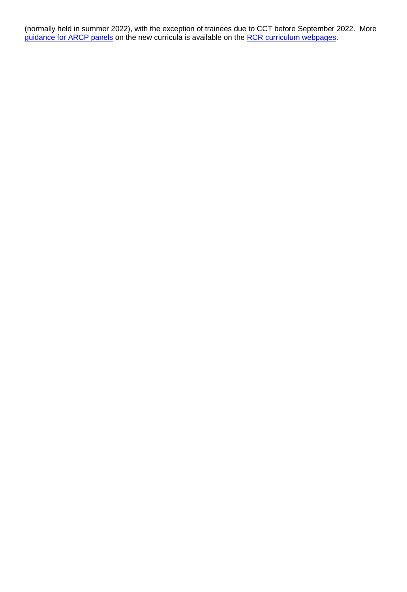(normally held in summer 2022), with the exception of trainees due to CCT before September 2022. More [guidance for ARCP panels](https://www.rcr.ac.uk/sites/default/files/curriculum_2020_-_guidance_for_deaneries_and_arcp_panels.pdf) on the new curricula is available on the [RCR curriculum webpages.](https://www.rcr.ac.uk/clinical-radiology/specialty-training/radiology-curricula)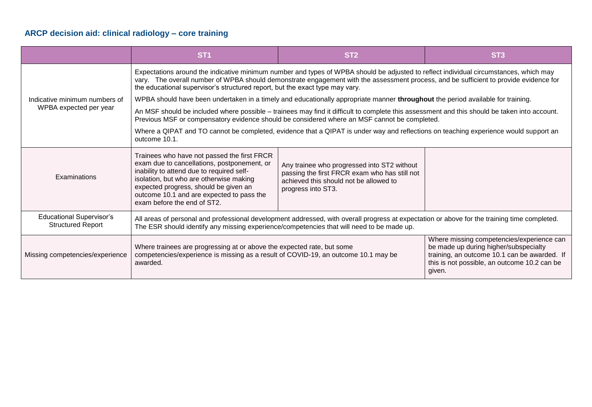## **ARCP decision aid: clinical radiology – core training**

|                                                             | ST <sub>1</sub>                                                                                                                                                                                                                                                                                                                                                | ST <sub>2</sub>                                                                                                                                              | ST <sub>3</sub>                                                                                                                                                                              |  |
|-------------------------------------------------------------|----------------------------------------------------------------------------------------------------------------------------------------------------------------------------------------------------------------------------------------------------------------------------------------------------------------------------------------------------------------|--------------------------------------------------------------------------------------------------------------------------------------------------------------|----------------------------------------------------------------------------------------------------------------------------------------------------------------------------------------------|--|
| Indicative minimum numbers of<br>WPBA expected per year     | Expectations around the indicative minimum number and types of WPBA should be adjusted to reflect individual circumstances, which may<br>vary. The overall number of WPBA should demonstrate engagement with the assessment process, and be sufficient to provide evidence for<br>the educational supervisor's structured report, but the exact type may vary. |                                                                                                                                                              |                                                                                                                                                                                              |  |
|                                                             | WPBA should have been undertaken in a timely and educationally appropriate manner throughout the period available for training.                                                                                                                                                                                                                                |                                                                                                                                                              |                                                                                                                                                                                              |  |
|                                                             | An MSF should be included where possible – trainees may find it difficult to complete this assessment and this should be taken into account.<br>Previous MSF or compensatory evidence should be considered where an MSF cannot be completed.                                                                                                                   |                                                                                                                                                              |                                                                                                                                                                                              |  |
|                                                             | Where a QIPAT and TO cannot be completed, evidence that a QIPAT is under way and reflections on teaching experience would support an<br>outcome 10.1.                                                                                                                                                                                                          |                                                                                                                                                              |                                                                                                                                                                                              |  |
| Examinations                                                | Trainees who have not passed the first FRCR<br>exam due to cancellations, postponement, or<br>inability to attend due to required self-<br>isolation, but who are otherwise making<br>expected progress, should be given an<br>outcome 10.1 and are expected to pass the<br>exam before the end of ST2.                                                        | Any trainee who progressed into ST2 without<br>passing the first FRCR exam who has still not<br>achieved this should not be allowed to<br>progress into ST3. |                                                                                                                                                                                              |  |
| <b>Educational Supervisor's</b><br><b>Structured Report</b> | All areas of personal and professional development addressed, with overall progress at expectation or above for the training time completed.<br>The ESR should identify any missing experience/competencies that will need to be made up.                                                                                                                      |                                                                                                                                                              |                                                                                                                                                                                              |  |
| Missing competencies/experience                             | Where trainees are progressing at or above the expected rate, but some<br>competencies/experience is missing as a result of COVID-19, an outcome 10.1 may be<br>awarded.                                                                                                                                                                                       |                                                                                                                                                              | Where missing competencies/experience can<br>be made up during higher/subspecialty<br>training, an outcome 10.1 can be awarded. If<br>this is not possible, an outcome 10.2 can be<br>given. |  |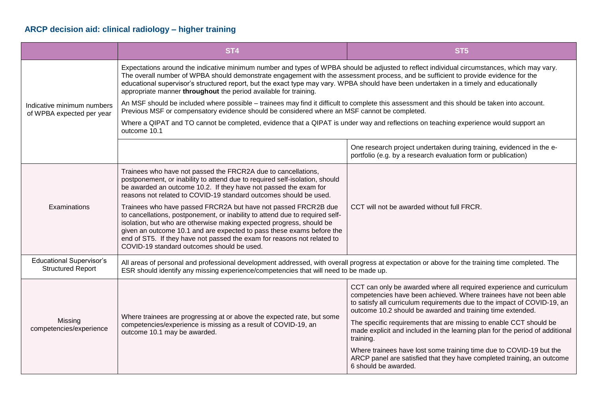## **ARCP decision aid: clinical radiology – higher training**

|                                                             | ST <sub>4</sub>                                                                                                                                                                                                                                                                                                                                                                                                                                                                                   | ST <sub>5</sub>                                                                                                                                                                                                                                                                      |  |  |  |
|-------------------------------------------------------------|---------------------------------------------------------------------------------------------------------------------------------------------------------------------------------------------------------------------------------------------------------------------------------------------------------------------------------------------------------------------------------------------------------------------------------------------------------------------------------------------------|--------------------------------------------------------------------------------------------------------------------------------------------------------------------------------------------------------------------------------------------------------------------------------------|--|--|--|
|                                                             | Expectations around the indicative minimum number and types of WPBA should be adjusted to reflect individual circumstances, which may vary.<br>The overall number of WPBA should demonstrate engagement with the assessment process, and be sufficient to provide evidence for the<br>educational supervisor's structured report, but the exact type may vary. WPBA should have been undertaken in a timely and educationally<br>appropriate manner throughout the period available for training. |                                                                                                                                                                                                                                                                                      |  |  |  |
| Indicative minimum numbers<br>of WPBA expected per year     | An MSF should be included where possible - trainees may find it difficult to complete this assessment and this should be taken into account.<br>Previous MSF or compensatory evidence should be considered where an MSF cannot be completed.                                                                                                                                                                                                                                                      |                                                                                                                                                                                                                                                                                      |  |  |  |
|                                                             | Where a QIPAT and TO cannot be completed, evidence that a QIPAT is under way and reflections on teaching experience would support an<br>outcome 10.1                                                                                                                                                                                                                                                                                                                                              |                                                                                                                                                                                                                                                                                      |  |  |  |
|                                                             |                                                                                                                                                                                                                                                                                                                                                                                                                                                                                                   | One research project undertaken during training, evidenced in the e-<br>portfolio (e.g. by a research evaluation form or publication)                                                                                                                                                |  |  |  |
| Examinations                                                | Trainees who have not passed the FRCR2A due to cancellations,<br>postponement, or inability to attend due to required self-isolation, should<br>be awarded an outcome 10.2. If they have not passed the exam for<br>reasons not related to COVID-19 standard outcomes should be used.                                                                                                                                                                                                             | CCT will not be awarded without full FRCR.                                                                                                                                                                                                                                           |  |  |  |
|                                                             | Trainees who have passed FRCR2A but have not passed FRCR2B due<br>to cancellations, postponement, or inability to attend due to required self-<br>isolation, but who are otherwise making expected progress, should be<br>given an outcome 10.1 and are expected to pass these exams before the<br>end of ST5. If they have not passed the exam for reasons not related to<br>COVID-19 standard outcomes should be used.                                                                          |                                                                                                                                                                                                                                                                                      |  |  |  |
| <b>Educational Supervisor's</b><br><b>Structured Report</b> | All areas of personal and professional development addressed, with overall progress at expectation or above for the training time completed. The<br>ESR should identify any missing experience/competencies that will need to be made up.                                                                                                                                                                                                                                                         |                                                                                                                                                                                                                                                                                      |  |  |  |
| Missing<br>competencies/experience                          | Where trainees are progressing at or above the expected rate, but some                                                                                                                                                                                                                                                                                                                                                                                                                            | CCT can only be awarded where all required experience and curriculum<br>competencies have been achieved. Where trainees have not been able<br>to satisfy all curriculum requirements due to the impact of COVID-19, an<br>outcome 10.2 should be awarded and training time extended. |  |  |  |
|                                                             | competencies/experience is missing as a result of COVID-19, an<br>outcome 10.1 may be awarded.                                                                                                                                                                                                                                                                                                                                                                                                    | The specific requirements that are missing to enable CCT should be<br>made explicit and included in the learning plan for the period of additional<br>training.                                                                                                                      |  |  |  |
|                                                             |                                                                                                                                                                                                                                                                                                                                                                                                                                                                                                   | Where trainees have lost some training time due to COVID-19 but the<br>ARCP panel are satisfied that they have completed training, an outcome<br>6 should be awarded.                                                                                                                |  |  |  |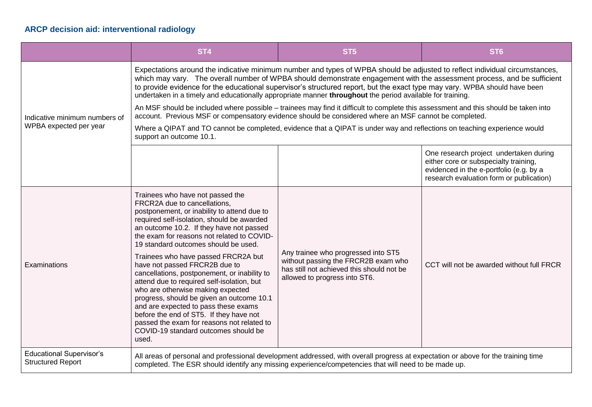## **ARCP decision aid: interventional radiology**

|                                                             | ST <sub>4</sub>                                                                                                                                                                                                                                                                                                                                                                                                                                                                                                                                                                                                                                                                                                                           | ST <sub>5</sub>                                                                                                                                          | ST <sub>6</sub>                                                                                                                                                        |  |  |
|-------------------------------------------------------------|-------------------------------------------------------------------------------------------------------------------------------------------------------------------------------------------------------------------------------------------------------------------------------------------------------------------------------------------------------------------------------------------------------------------------------------------------------------------------------------------------------------------------------------------------------------------------------------------------------------------------------------------------------------------------------------------------------------------------------------------|----------------------------------------------------------------------------------------------------------------------------------------------------------|------------------------------------------------------------------------------------------------------------------------------------------------------------------------|--|--|
|                                                             | Expectations around the indicative minimum number and types of WPBA should be adjusted to reflect individual circumstances,<br>which may vary. The overall number of WPBA should demonstrate engagement with the assessment process, and be sufficient<br>to provide evidence for the educational supervisor's structured report, but the exact type may vary. WPBA should have been<br>undertaken in a timely and educationally appropriate manner throughout the period available for training.                                                                                                                                                                                                                                         |                                                                                                                                                          |                                                                                                                                                                        |  |  |
| Indicative minimum numbers of<br>WPBA expected per year     | An MSF should be included where possible - trainees may find it difficult to complete this assessment and this should be taken into<br>account. Previous MSF or compensatory evidence should be considered where an MSF cannot be completed.                                                                                                                                                                                                                                                                                                                                                                                                                                                                                              |                                                                                                                                                          |                                                                                                                                                                        |  |  |
|                                                             | Where a QIPAT and TO cannot be completed, evidence that a QIPAT is under way and reflections on teaching experience would<br>support an outcome 10.1.                                                                                                                                                                                                                                                                                                                                                                                                                                                                                                                                                                                     |                                                                                                                                                          |                                                                                                                                                                        |  |  |
|                                                             |                                                                                                                                                                                                                                                                                                                                                                                                                                                                                                                                                                                                                                                                                                                                           |                                                                                                                                                          | One research project undertaken during<br>either core or subspecialty training,<br>evidenced in the e-portfolio (e.g. by a<br>research evaluation form or publication) |  |  |
| Examinations                                                | Trainees who have not passed the<br>FRCR2A due to cancellations,<br>postponement, or inability to attend due to<br>required self-isolation, should be awarded<br>an outcome 10.2. If they have not passed<br>the exam for reasons not related to COVID-<br>19 standard outcomes should be used.<br>Trainees who have passed FRCR2A but<br>have not passed FRCR2B due to<br>cancellations, postponement, or inability to<br>attend due to required self-isolation, but<br>who are otherwise making expected<br>progress, should be given an outcome 10.1<br>and are expected to pass these exams<br>before the end of ST5. If they have not<br>passed the exam for reasons not related to<br>COVID-19 standard outcomes should be<br>used. | Any trainee who progressed into ST5<br>without passing the FRCR2B exam who<br>has still not achieved this should not be<br>allowed to progress into ST6. | CCT will not be awarded without full FRCR                                                                                                                              |  |  |
| <b>Educational Supervisor's</b><br><b>Structured Report</b> | All areas of personal and professional development addressed, with overall progress at expectation or above for the training time<br>completed. The ESR should identify any missing experience/competencies that will need to be made up.                                                                                                                                                                                                                                                                                                                                                                                                                                                                                                 |                                                                                                                                                          |                                                                                                                                                                        |  |  |